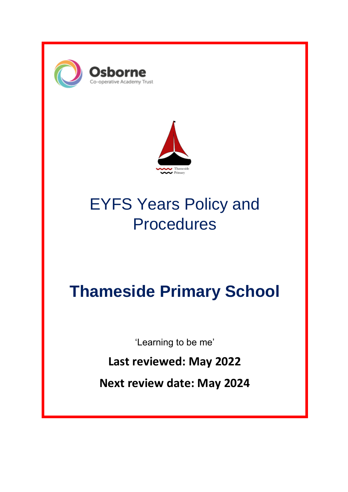



# EYFS Years Policy and **Procedures**

# **Thameside Primary School**

'Learning to be me'

**Last reviewed: May 2022**

**Next review date: May 2024**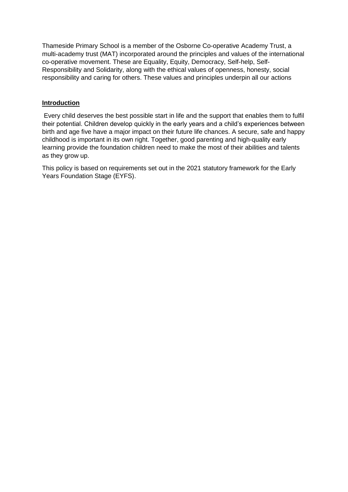Thameside Primary School is a member of the Osborne Co-operative Academy Trust, a multi-academy trust (MAT) incorporated around the principles and values of the international co-operative movement. These are Equality, Equity, Democracy, Self-help, Self-Responsibility and Solidarity, along with the ethical values of openness, honesty, social responsibility and caring for others. These values and principles underpin all our actions

# **Introduction**

Every child deserves the best possible start in life and the support that enables them to fulfil their potential. Children develop quickly in the early years and a child's experiences between birth and age five have a major impact on their future life chances. A secure, safe and happy childhood is important in its own right. Together, good parenting and high-quality early learning provide the foundation children need to make the most of their abilities and talents as they grow up.

This policy is based on requirements set out in the 2021 statutory framework for the Early Years Foundation Stage (EYFS).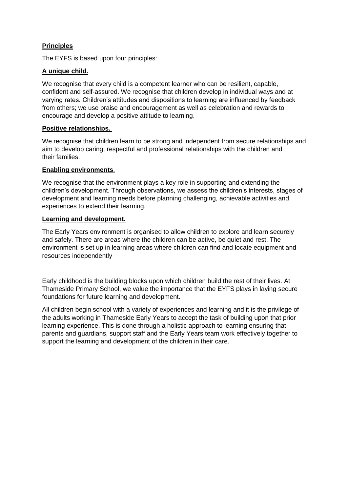# **Principles**

The EYFS is based upon four principles:

# **A unique child.**

We recognise that every child is a competent learner who can be resilient, capable, confident and self‐assured. We recognise that children develop in individual ways and at varying rates. Children's attitudes and dispositions to learning are influenced by feedback from others; we use praise and encouragement as well as celebration and rewards to encourage and develop a positive attitude to learning.

# **Positive relationships.**

We recognise that children learn to be strong and independent from secure relationships and aim to develop caring, respectful and professional relationships with the children and their families.

# **Enabling environments**.

We recognise that the environment plays a key role in supporting and extending the children's development. Through observations, we assess the children's interests, stages of development and learning needs before planning challenging, achievable activities and experiences to extend their learning.

## **Learning and development.**

The Early Years environment is organised to allow children to explore and learn securely and safely. There are areas where the children can be active, be quiet and rest. The environment is set up in learning areas where children can find and locate equipment and resources independently

Early childhood is the building blocks upon which children build the rest of their lives. At Thameside Primary School, we value the importance that the EYFS plays in laying secure foundations for future learning and development.

All children begin school with a variety of experiences and learning and it is the privilege of the adults working in Thameside Early Years to accept the task of building upon that prior learning experience. This is done through a holistic approach to learning ensuring that parents and guardians, support staff and the Early Years team work effectively together to support the learning and development of the children in their care.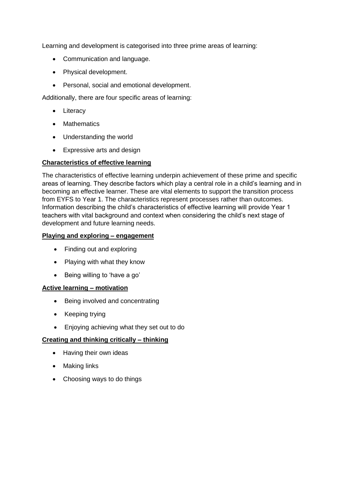Learning and development is categorised into three prime areas of learning:

- Communication and language.
- Physical development.
- Personal, social and emotional development.

Additionally, there are four specific areas of learning:

- Literacy
- Mathematics
- Understanding the world
- Expressive arts and design

# **Characteristics of effective learning**

The characteristics of effective learning underpin achievement of these prime and specific areas of learning. They describe factors which play a central role in a child's learning and in becoming an effective learner. These are vital elements to support the transition process from EYFS to Year 1. The characteristics represent processes rather than outcomes. Information describing the child's characteristics of effective learning will provide Year 1 teachers with vital background and context when considering the child's next stage of development and future learning needs.

## **Playing and exploring – engagement**

- Finding out and exploring
- Playing with what they know
- Being willing to 'have a go'

## **Active learning – motivation**

- Being involved and concentrating
- Keeping trying
- Enjoying achieving what they set out to do

## **Creating and thinking critically – thinking**

- Having their own ideas
- Making links
- Choosing ways to do things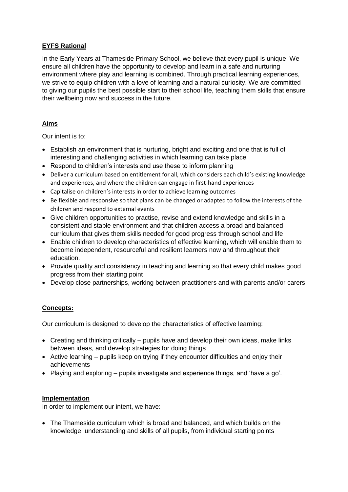# **EYFS Rational**

In the Early Years at Thameside Primary School, we believe that every pupil is unique. We ensure all children have the opportunity to develop and learn in a safe and nurturing environment where play and learning is combined. Through practical learning experiences, we strive to equip children with a love of learning and a natural curiosity. We are committed to giving our pupils the best possible start to their school life, teaching them skills that ensure their wellbeing now and success in the future.

# **Aims**

Our intent is to:

- Establish an environment that is nurturing, bright and exciting and one that is full of interesting and challenging activities in which learning can take place
- Respond to children's interests and use these to inform planning
- Deliver a curriculum based on entitlement for all, which considers each child's existing knowledge and experiences, and where the children can engage in first-hand experiences
- Capitalise on children's interests in order to achieve learning outcomes
- Be flexible and responsive so that plans can be changed or adapted to follow the interests of the children and respond to external events
- Give children opportunities to practise, revise and extend knowledge and skills in a consistent and stable environment and that children access a broad and balanced curriculum that gives them skills needed for good progress through school and life
- Enable children to develop characteristics of effective learning, which will enable them to become independent, resourceful and resilient learners now and throughout their education.
- Provide quality and consistency in teaching and learning so that every child makes good progress from their starting point
- Develop close partnerships, working between practitioners and with parents and/or carers

# **Concepts:**

Our curriculum is designed to develop the characteristics of effective learning:

- Creating and thinking critically pupils have and develop their own ideas, make links between ideas, and develop strategies for doing things
- $\bullet$  Active learning pupils keep on trying if they encounter difficulties and enjoy their achievements
- Playing and exploring pupils investigate and experience things, and 'have a go'.

## **Implementation**

In order to implement our intent, we have:

 The Thameside curriculum which is broad and balanced, and which builds on the knowledge, understanding and skills of all pupils, from individual starting points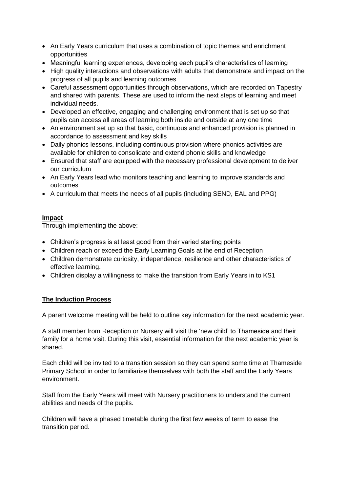- An Early Years curriculum that uses a combination of topic themes and enrichment opportunities
- Meaningful learning experiences, developing each pupil's characteristics of learning
- High quality interactions and observations with adults that demonstrate and impact on the progress of all pupils and learning outcomes
- Careful assessment opportunities through observations, which are recorded on Tapestry and shared with parents. These are used to inform the next steps of learning and meet individual needs.
- Developed an effective, engaging and challenging environment that is set up so that pupils can access all areas of learning both inside and outside at any one time
- An environment set up so that basic, continuous and enhanced provision is planned in accordance to assessment and key skills
- Daily phonics lessons, including continuous provision where phonics activities are available for children to consolidate and extend phonic skills and knowledge
- Ensured that staff are equipped with the necessary professional development to deliver our curriculum
- An Early Years lead who monitors teaching and learning to improve standards and outcomes
- A curriculum that meets the needs of all pupils (including SEND, EAL and PPG)

# **Impact**

Through implementing the above:

- Children's progress is at least good from their varied starting points
- Children reach or exceed the Early Learning Goals at the end of Reception
- Children demonstrate curiosity, independence, resilience and other characteristics of effective learning.
- Children display a willingness to make the transition from Early Years in to KS1

# **The Induction Process**

A parent welcome meeting will be held to outline key information for the next academic year.

A staff member from Reception or Nursery will visit the 'new child' to Thameside and their family for a home visit. During this visit, essential information for the next academic year is shared.

Each child will be invited to a transition session so they can spend some time at Thameside Primary School in order to familiarise themselves with both the staff and the Early Years environment.

Staff from the Early Years will meet with Nursery practitioners to understand the current abilities and needs of the pupils.

Children will have a phased timetable during the first few weeks of term to ease the transition period.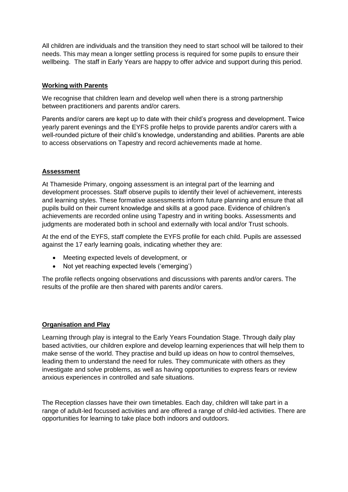All children are individuals and the transition they need to start school will be tailored to their needs. This may mean a longer settling process is required for some pupils to ensure their wellbeing. The staff in Early Years are happy to offer advice and support during this period.

## **Working with Parents**

We recognise that children learn and develop well when there is a strong partnership between practitioners and parents and/or carers.

Parents and/or carers are kept up to date with their child's progress and development. Twice yearly parent evenings and the EYFS profile helps to provide parents and/or carers with a well-rounded picture of their child's knowledge, understanding and abilities. Parents are able to access observations on Tapestry and record achievements made at home.

#### **Assessment**

At Thameside Primary, ongoing assessment is an integral part of the learning and development processes. Staff observe pupils to identify their level of achievement, interests and learning styles. These formative assessments inform future planning and ensure that all pupils build on their current knowledge and skills at a good pace. Evidence of children's achievements are recorded online using Tapestry and in writing books. Assessments and judgments are moderated both in school and externally with local and/or Trust schools.

At the end of the EYFS, staff complete the EYFS profile for each child. Pupils are assessed against the 17 early learning goals, indicating whether they are:

- Meeting expected levels of development, or
- Not yet reaching expected levels ('emerging')

The profile reflects ongoing observations and discussions with parents and/or carers. The results of the profile are then shared with parents and/or carers.

## **Organisation and Play**

Learning through play is integral to the Early Years Foundation Stage. Through daily play based activities, our children explore and develop learning experiences that will help them to make sense of the world. They practise and build up ideas on how to control themselves, leading them to understand the need for rules. They communicate with others as they investigate and solve problems, as well as having opportunities to express fears or review anxious experiences in controlled and safe situations.

The Reception classes have their own timetables. Each day, children will take part in a range of adult-led focussed activities and are offered a range of child-led activities. There are opportunities for learning to take place both indoors and outdoors.